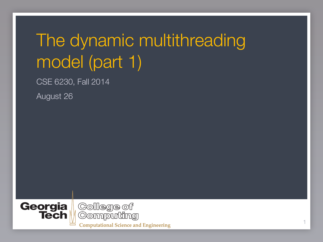# The dynamic multithreading model (part 1)

CSE 6230, Fall 2014

August 26



College of **Computing Computational Science and Engineering**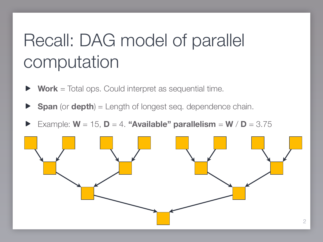## Recall: DAG model of parallel computation

- **Work** = Total ops. Could interpret as sequential time.
- **Span** (or **depth**) = Length of longest seq. dependence chain.
- Example:  $W = 15$ ,  $D = 4$ . "**Available" parallelism = W** /  $D = 3.75$

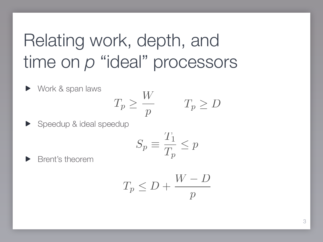## Relating work, depth, and time on *p* "ideal" processors

Work & span laws

$$
T_p \geq \frac{W}{p} \qquad T_p \geq D
$$

Speedup & ideal speedup

$$
S_p \equiv \frac{T_1}{T_p} \le p
$$

Brent's theorem

$$
T_p \leq D + \frac{W-D}{p}
$$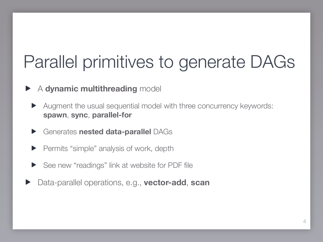## Parallel primitives to generate DAGs

#### A **dynamic multithreading** model

- Augment the usual sequential model with three concurrency keywords:  $\blacktriangleright$ **spawn**, **sync**, **parallel-for**
- Generates **nested data-parallel** DAGs  $\blacktriangleright$
- Permits "simple" analysis of work, depth  $\blacktriangleright$
- See new "readings" link at website for PDF file
- Data-parallel operations, e.g., **vector-add**, **scan**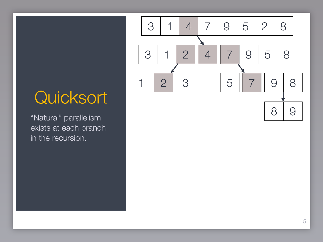### **Quicksort**

"Natural" parallelism exists at each branch in the recursion.

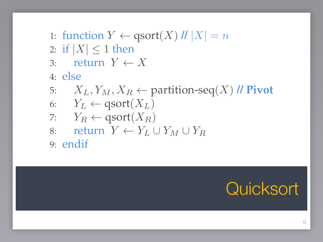1: function  $Y \leftarrow \text{qsort}(X)$   $|I|X| = n$ 2: if  $|X| \leq 1$  then 3: return  $Y \leftarrow X$ 4: else 5:  $X_L, Y_M, X_R \leftarrow$  partition-seq(*X*) // Pivot 6:  $Y_L \leftarrow \text{qsort}(X_L)$ 7:  $Y_R \leftarrow \text{qsort}(X_R)$ 8: return  $Y \leftarrow Y_L \cup Y_M \cup Y_R$ 9: endif

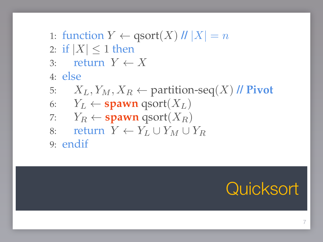1: function  $Y \leftarrow \text{qsort}(X)$   $|I|X| = n$ 2: if  $|X| \leq 1$  then 3: return  $Y \leftarrow X$ 4: else 5:  $X_L, Y_M, X_R \leftarrow$  partition-seq(*X*) // Pivot 6:  $Y_L \leftarrow \text{spawn qsort}(X_L)$ 7:  $Y_R \leftarrow \text{spawn qsort}(X_R)$ 8: return  $Y \leftarrow Y_L \cup Y_M \cup Y_R$ 9: endif

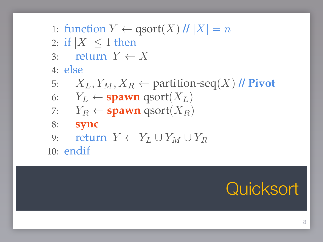- 1: function  $Y \leftarrow \text{qsort}(X)$   $|I|X| = n$
- 2: if  $|X| \leq 1$  then<br>3: return  $Y \leftarrow$
- return  $Y \leftarrow X$

### 4: else

- 5:  $X_L, Y_M, X_R \leftarrow$  partition-seq(*X*) // Pivot
- 6:  $Y_L \leftarrow \text{spawn qsort}(X_L)$
- 7:  $Y_R \leftarrow \text{spawn qsort}(X_R)$
- 8: **sync**
- 9: return  $Y \leftarrow Y_L \cup Y_M \cup Y_R$ 10: endif

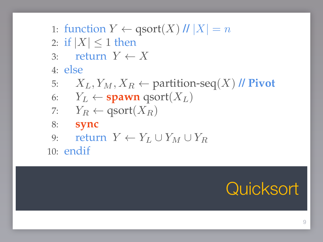- 1: function  $Y \leftarrow \text{qsort}(X)$   $|I|X| = n$
- 2: if  $|X| \leq 1$  then<br>3: return  $Y \leftarrow$
- $\mathbf{r}$  return  $Y \leftarrow X$

### 4: else

- 5:  $X_L, Y_M, X_R \leftarrow$  partition-seq(*X*) // Pivot
- 6:  $Y_L \leftarrow \text{spawn qsort}(X_L)$

7: 
$$
Y_R \leftarrow \text{qsort}(X_R)
$$

- 8: **sync**
- 9: return  $Y \leftarrow Y_L \cup Y_M \cup Y_R$ 10: endif

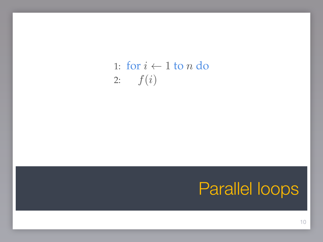### 1: for  $i \leftarrow 1$  to n do 2:  $f(i)$

### Parallel loops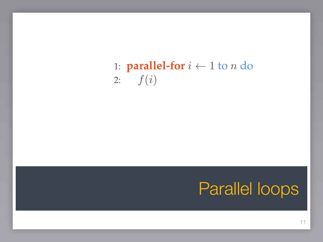### 1: **parallel-for**  $i \leftarrow 1$  to *n* do 2:  $f(i)$

### Parallel loops